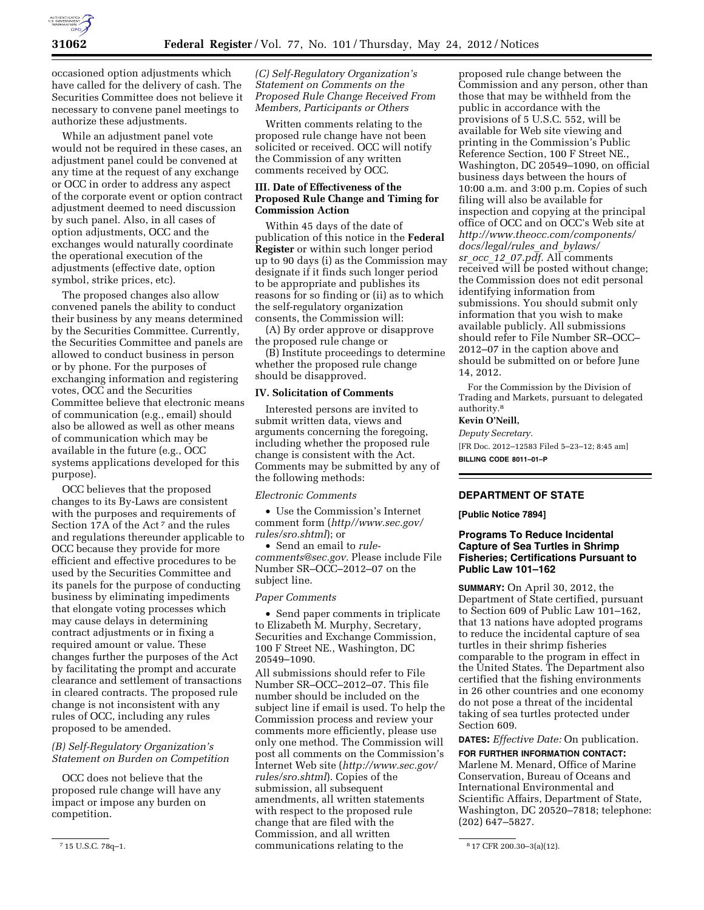

occasioned option adjustments which have called for the delivery of cash. The Securities Committee does not believe it necessary to convene panel meetings to authorize these adjustments.

While an adjustment panel vote would not be required in these cases, an adjustment panel could be convened at any time at the request of any exchange or OCC in order to address any aspect of the corporate event or option contract adjustment deemed to need discussion by such panel. Also, in all cases of option adjustments, OCC and the exchanges would naturally coordinate the operational execution of the adjustments (effective date, option symbol, strike prices, etc).

The proposed changes also allow convened panels the ability to conduct their business by any means determined by the Securities Committee. Currently, the Securities Committee and panels are allowed to conduct business in person or by phone. For the purposes of exchanging information and registering votes, OCC and the Securities Committee believe that electronic means of communication (e.g., email) should also be allowed as well as other means of communication which may be available in the future (e.g., OCC systems applications developed for this purpose).

OCC believes that the proposed changes to its By-Laws are consistent with the purposes and requirements of Section 17A of the Act<sup>7</sup> and the rules and regulations thereunder applicable to OCC because they provide for more efficient and effective procedures to be used by the Securities Committee and its panels for the purpose of conducting business by eliminating impediments that elongate voting processes which may cause delays in determining contract adjustments or in fixing a required amount or value. These changes further the purposes of the Act by facilitating the prompt and accurate clearance and settlement of transactions in cleared contracts. The proposed rule change is not inconsistent with any rules of OCC, including any rules proposed to be amended.

# *(B) Self-Regulatory Organization's Statement on Burden on Competition*

OCC does not believe that the proposed rule change will have any impact or impose any burden on competition.

*(C) Self-Regulatory Organization's Statement on Comments on the Proposed Rule Change Received From Members, Participants or Others* 

Written comments relating to the proposed rule change have not been solicited or received. OCC will notify the Commission of any written comments received by OCC.

### **III. Date of Effectiveness of the Proposed Rule Change and Timing for Commission Action**

Within 45 days of the date of publication of this notice in the **Federal Register** or within such longer period up to 90 days (i) as the Commission may designate if it finds such longer period to be appropriate and publishes its reasons for so finding or (ii) as to which the self-regulatory organization consents, the Commission will:

(A) By order approve or disapprove the proposed rule change or

(B) Institute proceedings to determine whether the proposed rule change should be disapproved.

#### **IV. Solicitation of Comments**

Interested persons are invited to submit written data, views and arguments concerning the foregoing, including whether the proposed rule change is consistent with the Act. Comments may be submitted by any of the following methods:

*Electronic Comments* 

• Use the Commission's Internet comment form (*[http//www.sec.gov/](http//www.sec.gov/rules/sro.shtml) [rules/sro.shtml](http//www.sec.gov/rules/sro.shtml)*); or

• Send an email to *[rule-](mailto:rule-comments@sec.gov)*

*[comments@sec.gov.](mailto:rule-comments@sec.gov)* Please include File Number SR–OCC–2012–07 on the subject line.

#### *Paper Comments*

• Send paper comments in triplicate to Elizabeth M. Murphy, Secretary, Securities and Exchange Commission, 100 F Street NE., Washington, DC 20549–1090.

7 15 U.S.C. 78q–1. 8 17 CFR 200.30–3(a)(12). communications relating to the All submissions should refer to File Number SR–OCC–2012–07. This file number should be included on the subject line if email is used. To help the Commission process and review your comments more efficiently, please use only one method. The Commission will post all comments on the Commission's Internet Web site (*[http://www.sec.gov/](http://www.sec.gov/rules/sro.shtml)  [rules/sro.shtml](http://www.sec.gov/rules/sro.shtml)*). Copies of the submission, all subsequent amendments, all written statements with respect to the proposed rule change that are filed with the Commission, and all written

proposed rule change between the Commission and any person, other than those that may be withheld from the public in accordance with the provisions of 5 U.S.C. 552, will be available for Web site viewing and printing in the Commission's Public Reference Section, 100 F Street NE., Washington, DC 20549–1090, on official business days between the hours of 10:00 a.m. and 3:00 p.m. Copies of such filing will also be available for inspection and copying at the principal office of OCC and on OCC's Web site at *[http://www.theocc.com/components/](http://www.theocc.com/components/docs/legal/rules_and_bylaws/sr_occ_12_07.pdf) [docs/legal/rules](http://www.theocc.com/components/docs/legal/rules_and_bylaws/sr_occ_12_07.pdf)*\_*and*\_*bylaws/ sr\_occ\_* 12\_*[07.pdf.](http://www.theocc.com/components/docs/legal/rules_and_bylaws/sr_occ_12_07.pdf)* All comments received will be posted without change; the Commission does not edit personal identifying information from submissions. You should submit only information that you wish to make available publicly. All submissions should refer to File Number SR–OCC– 2012–07 in the caption above and should be submitted on or before June 14, 2012.

For the Commission by the Division of Trading and Markets, pursuant to delegated authority.8

# **Kevin O'Neill,**

*Deputy Secretary.*  [FR Doc. 2012–12583 Filed 5–23–12; 8:45 am] **BILLING CODE 8011–01–P** 

## **DEPARTMENT OF STATE**

#### **[Public Notice 7894]**

## **Programs To Reduce Incidental Capture of Sea Turtles in Shrimp Fisheries; Certifications Pursuant to Public Law 101–162**

**SUMMARY:** On April 30, 2012, the Department of State certified, pursuant to Section 609 of Public Law 101–162, that 13 nations have adopted programs to reduce the incidental capture of sea turtles in their shrimp fisheries comparable to the program in effect in the United States. The Department also certified that the fishing environments in 26 other countries and one economy do not pose a threat of the incidental taking of sea turtles protected under Section 609.

**DATES:** *Effective Date:* On publication. **FOR FURTHER INFORMATION CONTACT:**  Marlene M. Menard, Office of Marine Conservation, Bureau of Oceans and International Environmental and Scientific Affairs, Department of State, Washington, DC 20520–7818; telephone: (202) 647–5827.